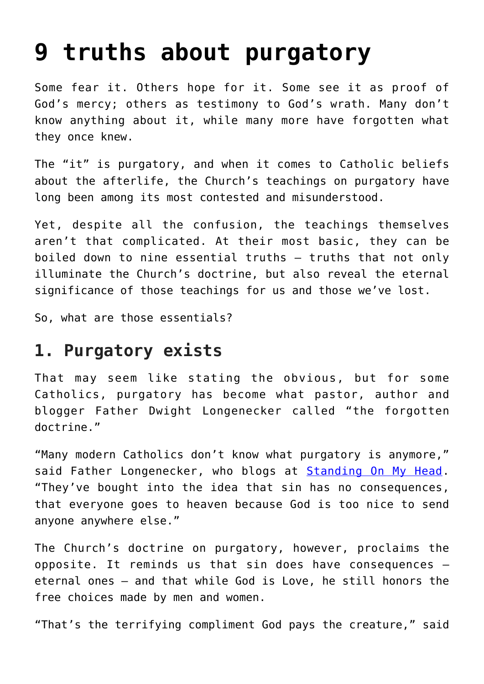# **[9 truths about purgatory](https://www.osvnews.com/amp/2013/09/18/9-truths-about-purgatory/)**

Some fear it. Others hope for it. Some see it as proof of God's mercy; others as testimony to God's wrath. Many don't know anything about it, while many more have forgotten what they once knew.

The "it" is purgatory, and when it comes to Catholic beliefs about the afterlife, the Church's teachings on purgatory have long been among its most contested and misunderstood.

Yet, despite all the confusion, the teachings themselves aren't that complicated. At their most basic, they can be boiled down to nine essential truths — truths that not only illuminate the Church's doctrine, but also reveal the eternal significance of those teachings for us and those we've lost.

So, what are those essentials?

### **1. Purgatory exists**

That may seem like stating the obvious, but for some Catholics, purgatory has become what pastor, author and blogger Father Dwight Longenecker called "the forgotten doctrine."

"Many modern Catholics don't know what purgatory is anymore," said Father Longenecker, who blogs at [Standing On My Head.](http://www.patheos.com/blogs/standingonmyhead/) "They've bought into the idea that sin has no consequences, that everyone goes to heaven because God is too nice to send anyone anywhere else."

The Church's doctrine on purgatory, however, proclaims the opposite. It reminds us that sin does have consequences eternal ones — and that while God is Love, he still honors the free choices made by men and women.

"That's the terrifying compliment God pays the creature," said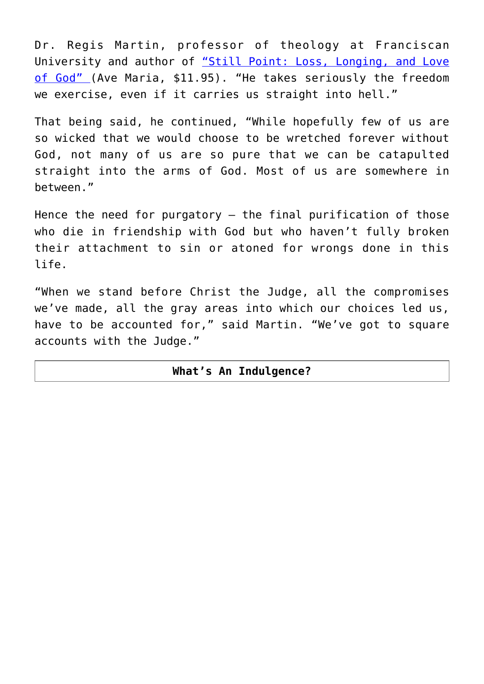Dr. Regis Martin, professor of theology at Franciscan University and author of ["Still Point: Loss, Longing, and Love](http://www.amazon.com/gp/product/1594713413/ref=as_li_ss_tl?ie=UTF8&camp=1789&creative=390957&creativeASIN=1594713413&linkCode=as2&tag=oursunvis-20) [of God"](http://www.amazon.com/gp/product/1594713413/ref=as_li_ss_tl?ie=UTF8&camp=1789&creative=390957&creativeASIN=1594713413&linkCode=as2&tag=oursunvis-20) (Ave Maria, \$11.95). "He takes seriously the freedom we exercise, even if it carries us straight into hell."

That being said, he continued, "While hopefully few of us are so wicked that we would choose to be wretched forever without God, not many of us are so pure that we can be catapulted straight into the arms of God. Most of us are somewhere in between."

Hence the need for purgatory — the final purification of those who die in friendship with God but who haven't fully broken their attachment to sin or atoned for wrongs done in this life.

"When we stand before Christ the Judge, all the compromises we've made, all the gray areas into which our choices led us, have to be accounted for," said Martin. "We've got to square accounts with the Judge."

### **What's An Indulgence?**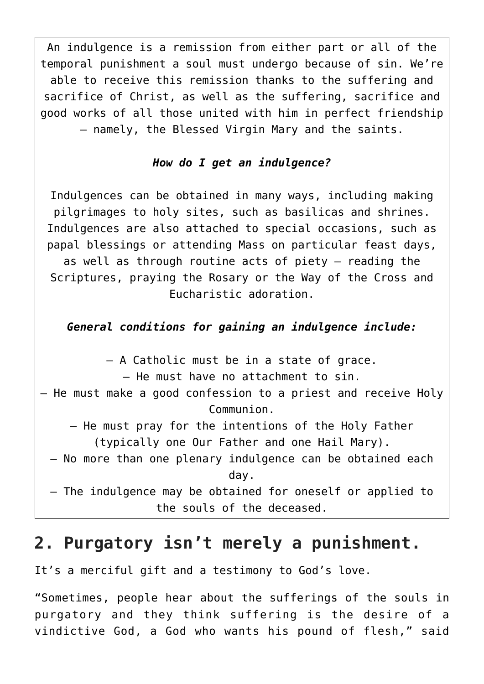An indulgence is a remission from either part or all of the temporal punishment a soul must undergo because of sin. We're able to receive this remission thanks to the suffering and sacrifice of Christ, as well as the suffering, sacrifice and good works of all those united with him in perfect friendship — namely, the Blessed Virgin Mary and the saints.

### *How do I get an indulgence?*

Indulgences can be obtained in many ways, including making pilgrimages to holy sites, such as basilicas and shrines. Indulgences are also attached to special occasions, such as papal blessings or attending Mass on particular feast days, as well as through routine acts of piety — reading the Scriptures, praying the Rosary or the Way of the Cross and Eucharistic adoration.

### *General conditions for gaining an indulgence include:*

– A Catholic must be in a state of grace.

– He must have no attachment to sin.

- He must make a good confession to a priest and receive Holy Communion.
	- He must pray for the intentions of the Holy Father (typically one Our Father and one Hail Mary).
	- No more than one plenary indulgence can be obtained each day.
	- The indulgence may be obtained for oneself or applied to the souls of the deceased.

### **2. Purgatory isn't merely a punishment.**

It's a merciful gift and a testimony to God's love.

"Sometimes, people hear about the sufferings of the souls in purgatory and they think suffering is the desire of a vindictive God, a God who wants his pound of flesh," said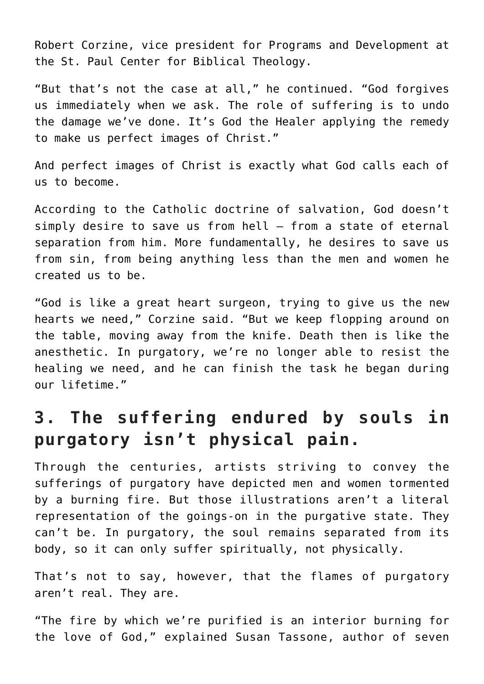Robert Corzine, vice president for Programs and Development at the St. Paul Center for Biblical Theology.

"But that's not the case at all," he continued. "God forgives us immediately when we ask. The role of suffering is to undo the damage we've done. It's God the Healer applying the remedy to make us perfect images of Christ."

And perfect images of Christ is exactly what God calls each of us to become.

According to the Catholic doctrine of salvation, God doesn't simply desire to save us from hell — from a state of eternal separation from him. More fundamentally, he desires to save us from sin, from being anything less than the men and women he created us to be.

"God is like a great heart surgeon, trying to give us the new hearts we need," Corzine said. "But we keep flopping around on the table, moving away from the knife. Death then is like the anesthetic. In purgatory, we're no longer able to resist the healing we need, and he can finish the task he began during our lifetime."

# **3. The suffering endured by souls in purgatory isn't physical pain.**

Through the centuries, artists striving to convey the sufferings of purgatory have depicted men and women tormented by a burning fire. But those illustrations aren't a literal representation of the goings-on in the purgative state. They can't be. In purgatory, the soul remains separated from its body, so it can only suffer spiritually, not physically.

That's not to say, however, that the flames of purgatory aren't real. They are.

"The fire by which we're purified is an interior burning for the love of God," explained Susan Tassone, author of seven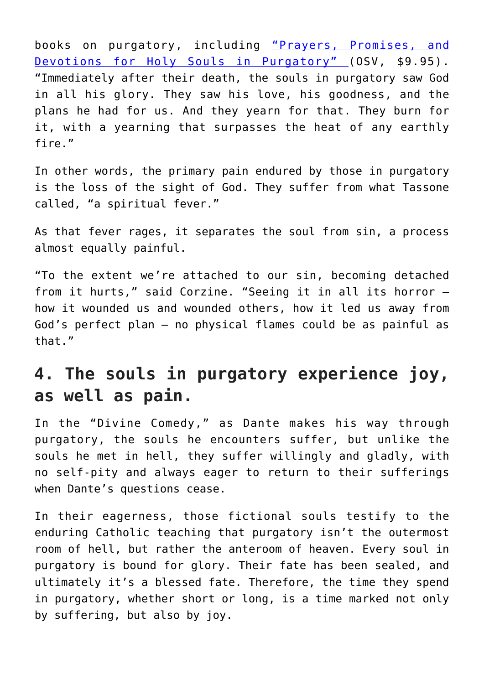books on purgatory, including ["Prayers, Promises, and](https://www.osv.com/Shop/Product?ProductCode=T1254) [Devotions for Holy Souls in Purgatory" \(](https://www.osv.com/Shop/Product?ProductCode=T1254)OSV, \$9.95). "Immediately after their death, the souls in purgatory saw God in all his glory. They saw his love, his goodness, and the plans he had for us. And they yearn for that. They burn for it, with a yearning that surpasses the heat of any earthly fire."

In other words, the primary pain endured by those in purgatory is the loss of the sight of God. They suffer from what Tassone called, "a spiritual fever."

As that fever rages, it separates the soul from sin, a process almost equally painful.

"To the extent we're attached to our sin, becoming detached from it hurts," said Corzine. "Seeing it in all its horror how it wounded us and wounded others, how it led us away from God's perfect plan — no physical flames could be as painful as that."

# **4. The souls in purgatory experience joy, as well as pain.**

In the "Divine Comedy," as Dante makes his way through purgatory, the souls he encounters suffer, but unlike the souls he met in hell, they suffer willingly and gladly, with no self-pity and always eager to return to their sufferings when Dante's questions cease.

In their eagerness, those fictional souls testify to the enduring Catholic teaching that purgatory isn't the outermost room of hell, but rather the anteroom of heaven. Every soul in purgatory is bound for glory. Their fate has been sealed, and ultimately it's a blessed fate. Therefore, the time they spend in purgatory, whether short or long, is a time marked not only by suffering, but also by joy.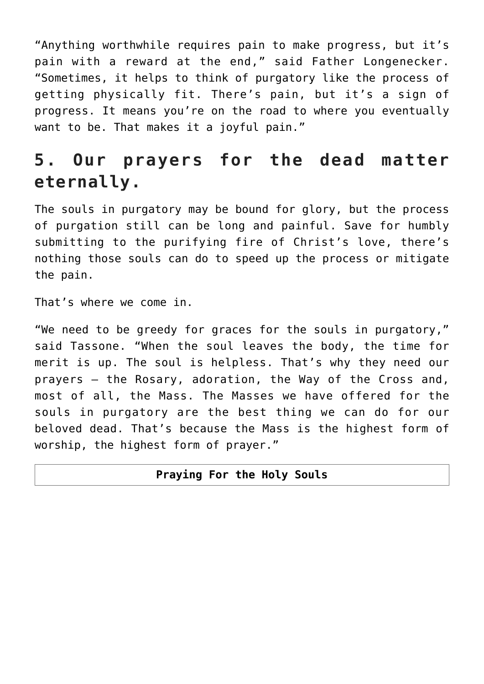"Anything worthwhile requires pain to make progress, but it's pain with a reward at the end," said Father Longenecker. "Sometimes, it helps to think of purgatory like the process of getting physically fit. There's pain, but it's a sign of progress. It means you're on the road to where you eventually want to be. That makes it a joyful pain."

# **5. Our prayers for the dead matter eternally.**

The souls in purgatory may be bound for glory, but the process of purgation still can be long and painful. Save for humbly submitting to the purifying fire of Christ's love, there's nothing those souls can do to speed up the process or mitigate the pain.

That's where we come in.

"We need to be greedy for graces for the souls in purgatory," said Tassone. "When the soul leaves the body, the time for merit is up. The soul is helpless. That's why they need our prayers — the Rosary, adoration, the Way of the Cross and, most of all, the Mass. The Masses we have offered for the souls in purgatory are the best thing we can do for our beloved dead. That's because the Mass is the highest form of worship, the highest form of prayer."

#### **Praying For the Holy Souls**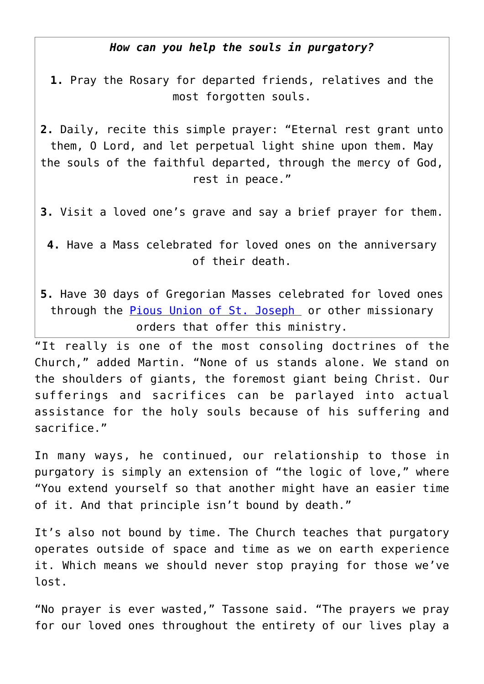#### *How can you help the souls in purgatory?*

- **1.** Pray the Rosary for departed friends, relatives and the most forgotten souls.
- **2.** Daily, recite this simple prayer: "Eternal rest grant unto them, O Lord, and let perpetual light shine upon them. May the souls of the faithful departed, through the mercy of God, rest in peace."
- **3.** Visit a loved one's grave and say a brief prayer for them.

**4.** Have a Mass celebrated for loved ones on the anniversary of their death.

**5.** Have 30 days of Gregorian Masses celebrated for loved ones through the **Pious Union of St. Joseph** or other missionary orders that offer this ministry.

"It really is one of the most consoling doctrines of the Church," added Martin. "None of us stands alone. We stand on the shoulders of giants, the foremost giant being Christ. Our sufferings and sacrifices can be parlayed into actual assistance for the holy souls because of his suffering and sacrifice."

In many ways, he continued, our relationship to those in purgatory is simply an extension of "the logic of love," where "You extend yourself so that another might have an easier time of it. And that principle isn't bound by death."

It's also not bound by time. The Church teaches that purgatory operates outside of space and time as we on earth experience it. Which means we should never stop praying for those we've lost.

"No prayer is ever wasted," Tassone said. "The prayers we pray for our loved ones throughout the entirety of our lives play a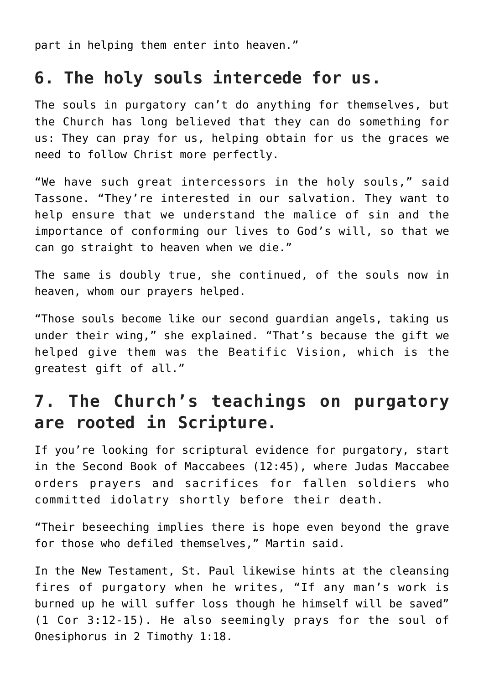part in helping them enter into heaven."

### **6. The holy souls intercede for us.**

The souls in purgatory can't do anything for themselves, but the Church has long believed that they can do something for us: They can pray for us, helping obtain for us the graces we need to follow Christ more perfectly.

"We have such great intercessors in the holy souls," said Tassone. "They're interested in our salvation. They want to help ensure that we understand the malice of sin and the importance of conforming our lives to God's will, so that we can go straight to heaven when we die."

The same is doubly true, she continued, of the souls now in heaven, whom our prayers helped.

"Those souls become like our second guardian angels, taking us under their wing," she explained. "That's because the gift we helped give them was the Beatific Vision, which is the greatest gift of all."

# **7. The Church's teachings on purgatory are rooted in Scripture.**

If you're looking for scriptural evidence for purgatory, start in the Second Book of Maccabees (12:45), where Judas Maccabee orders prayers and sacrifices for fallen soldiers who committed idolatry shortly before their death.

"Their beseeching implies there is hope even beyond the grave for those who defiled themselves," Martin said.

In the New Testament, St. Paul likewise hints at the cleansing fires of purgatory when he writes, "If any man's work is burned up he will suffer loss though he himself will be saved" (1 Cor 3:12-15). He also seemingly prays for the soul of Onesiphorus in 2 Timothy 1:18.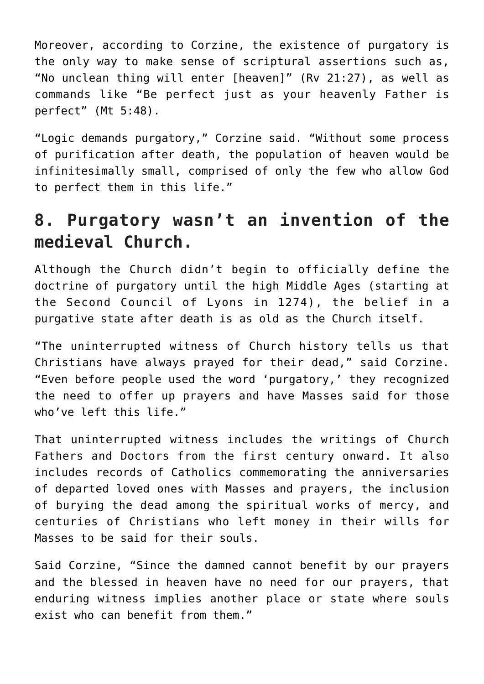Moreover, according to Corzine, the existence of purgatory is the only way to make sense of scriptural assertions such as, "No unclean thing will enter [heaven]" (Rv 21:27), as well as commands like "Be perfect just as your heavenly Father is perfect" (Mt 5:48).

"Logic demands purgatory," Corzine said. "Without some process of purification after death, the population of heaven would be infinitesimally small, comprised of only the few who allow God to perfect them in this life."

# **8. Purgatory wasn't an invention of the medieval Church.**

Although the Church didn't begin to officially define the doctrine of purgatory until the high Middle Ages (starting at the Second Council of Lyons in 1274), the belief in a purgative state after death is as old as the Church itself.

"The uninterrupted witness of Church history tells us that Christians have always prayed for their dead," said Corzine. "Even before people used the word 'purgatory,' they recognized the need to offer up prayers and have Masses said for those who've left this life."

That uninterrupted witness includes the writings of Church Fathers and Doctors from the first century onward. It also includes records of Catholics commemorating the anniversaries of departed loved ones with Masses and prayers, the inclusion of burying the dead among the spiritual works of mercy, and centuries of Christians who left money in their wills for Masses to be said for their souls.

Said Corzine, "Since the damned cannot benefit by our prayers and the blessed in heaven have no need for our prayers, that enduring witness implies another place or state where souls exist who can benefit from them."